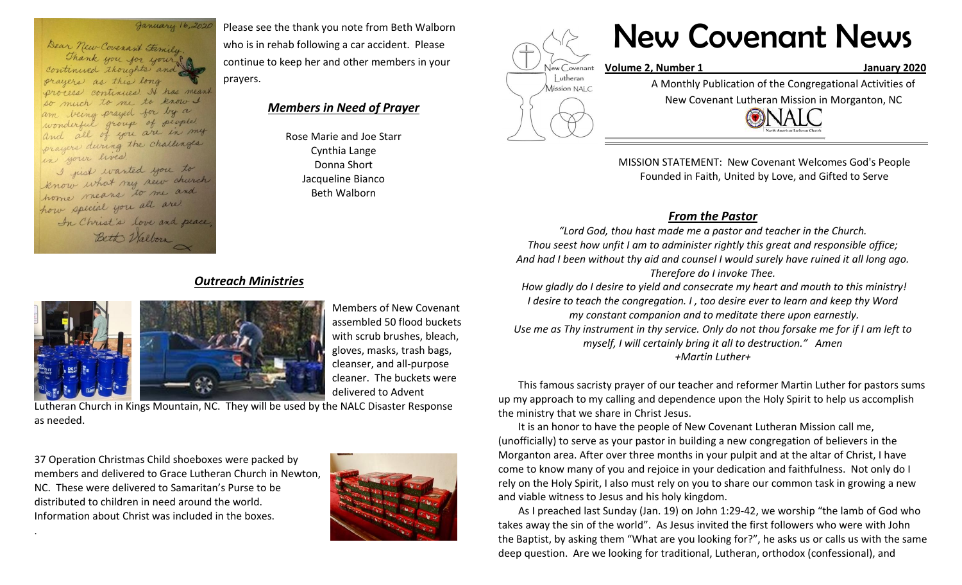January 16,2020

Dear New Covenant Fimily. Thank you for your? continued thoughts and prayers as this long process continues. It has meant so much to me to know I being prayed for by a wonderful group of people. all of you are in my prayers during the challenges in your lives.

I just wanted you to know what my new church home means to me and how special you all are. In Christ's love and peace, Bett Walborn

Please see the thank you note from Beth Walborn who is in rehab following a car accident. Please continue to keep her and other members in your prayers.

## *Members in Need of Prayer*

Rose Marie and Joe Starr Cynthia Lange Donna Short Jacqueline Bianco Beth Walborn



# New Covenant News

**Volume 2, Number 1 January 2020**

A Monthly Publication of the Congregational Activities of

New Covenant Lutheran Mission in Morganton, NC



MISSION STATEMENT: New Covenant Welcomes God's People Founded in Faith, United by Love, and Gifted to Serve

# *From the Pastor*

*"Lord God, thou hast made me a pastor and teacher in the Church. Thou seest how unfit I am to administer rightly this great and responsible office; And had I been without thy aid and counsel I would surely have ruined it all long ago. Therefore do I invoke Thee.* 

*How gladly do I desire to yield and consecrate my heart and mouth to this ministry! I desire to teach the congregation. I , too desire ever to learn and keep thy Word my constant companion and to meditate there upon earnestly. Use me as Thy instrument in thy service. Only do not thou forsake me for if I am left to myself, I will certainly bring it all to destruction." Amen +Martin Luther+*

This famous sacristy prayer of our teacher and reformer Martin Luther for pastors sums up my approach to my calling and dependence upon the Holy Spirit to help us accomplish the ministry that we share in Christ Jesus.

It is an honor to have the people of New Covenant Lutheran Mission call me, (unofficially) to serve as your pastor in building a new congregation of believers in the Morganton area. After over three months in your pulpit and at the altar of Christ, I have come to know many of you and rejoice in your dedication and faithfulness. Not only do I rely on the Holy Spirit, I also must rely on you to share our common task in growing a new and viable witness to Jesus and his holy kingdom.

As I preached last Sunday (Jan. 19) on John 1:29-42, we worship "the lamb of God who takes away the sin of the world". As Jesus invited the first followers who were with John the Baptist, by asking them "What are you looking for?", he asks us or calls us with the same deep question. Are we looking for traditional, Lutheran, orthodox (confessional), and

# *Outreach Ministries*



Members of New Covenant assembled 50 flood buckets with scrub brushes, bleach, gloves, masks, trash bags, cleanser, and all-purpose cleaner. The buckets were delivered to Advent

Lutheran Church in Kings Mountain, NC. They will be used by the NALC Disaster Response as needed.

37 Operation Christmas Child shoeboxes were packed by members and delivered to Grace Lutheran Church in Newton, NC. These were delivered to Samaritan's Purse to be distributed to children in need around the world. Information about Christ was included in the boxes.

.